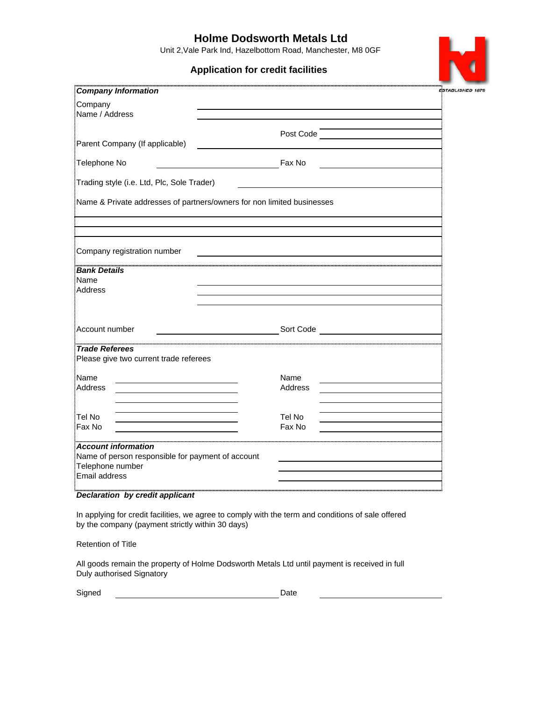## **Holme Dodsworth Metals Ltd**

#### **Application for credit facilities**

|                                                                                                               | HOIING DOUSWORN METAIS LTU<br>Unit 2, Vale Park Ind, Hazelbottom Road, Manchester, M8 0GF |  |
|---------------------------------------------------------------------------------------------------------------|-------------------------------------------------------------------------------------------|--|
| <b>Application for credit facilities</b>                                                                      |                                                                                           |  |
| <b>Company Information</b>                                                                                    | <b>ESTABLISHED 1879</b>                                                                   |  |
| Company<br>Name / Address                                                                                     |                                                                                           |  |
| Parent Company (If applicable)                                                                                |                                                                                           |  |
| Telephone No                                                                                                  | Fax No                                                                                    |  |
| Trading style (i.e. Ltd, Plc, Sole Trader)                                                                    |                                                                                           |  |
| Name & Private addresses of partners/owners for non limited businesses                                        |                                                                                           |  |
|                                                                                                               |                                                                                           |  |
|                                                                                                               |                                                                                           |  |
| Company registration number                                                                                   |                                                                                           |  |
| <b>Bank Details</b><br>Name<br>Address                                                                        |                                                                                           |  |
|                                                                                                               |                                                                                           |  |
| Account number                                                                                                |                                                                                           |  |
| <b>Trade Referees</b><br>Please give two current trade referees                                               |                                                                                           |  |
| Name<br>Address                                                                                               | Name<br><b>Address</b>                                                                    |  |
| Tel No<br>Fax No                                                                                              | Tel No<br>Fax No                                                                          |  |
| Account information<br>Name of person responsible for payment of account<br>Telephone number<br>Email address |                                                                                           |  |

*Declaration by credit applicant*

In applying for credit facilities, we agree to comply with the term and conditions of sale offered by the company (payment strictly within 30 days)

Retention of Title

All goods remain the property of Holme Dodsworth Metals Ltd until payment is received in full Duly authorised Signatory

| Signed | Date |
|--------|------|
|        |      |
|        |      |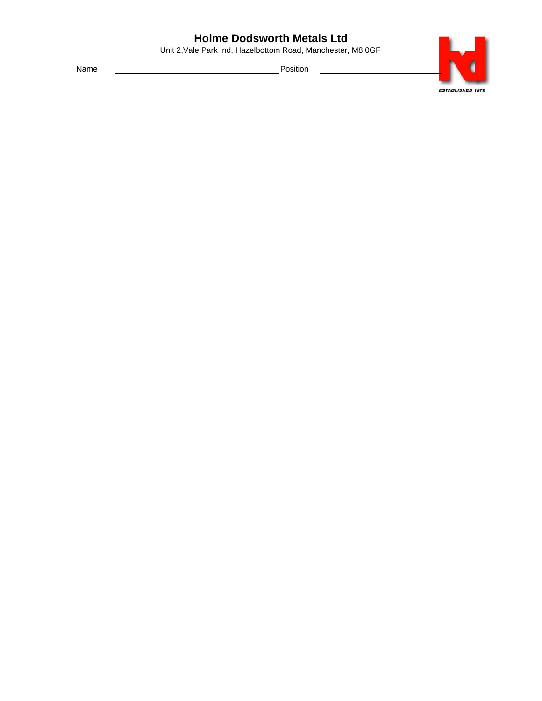# **Holme Dodsworth Metals Ltd**

Unit 2,Vale Park Ind, Hazelbottom Road, Manchester, M8 0GF

Name Position

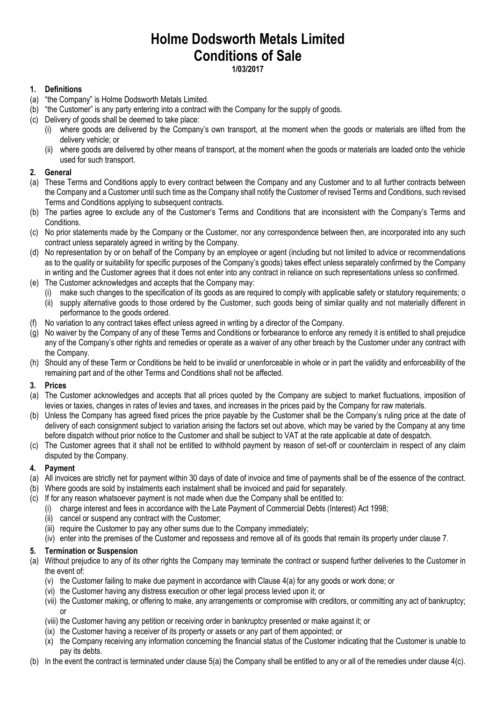# **Holme Dodsworth Metals Limited Conditions of Sale**

**1/03/2017**

#### **1. Definitions**

- (a) "the Company" is Holme Dodsworth Metals Limited.
- (b) "the Customer" is any party entering into a contract with the Company for the supply of goods.
- (c) Delivery of goods shall be deemed to take place:
	- (i) where goods are delivered by the Company's own transport, at the moment when the goods or materials are lifted from the delivery vehicle; or
	- (ii) where goods are delivered by other means of transport, at the moment when the goods or materials are loaded onto the vehicle used for such transport.

#### **2. General**

- (a) These Terms and Conditions apply to every contract between the Company and any Customer and to all further contracts between the Company and a Customer until such time as the Company shall notify the Customer of revised Terms and Conditions, such revised Terms and Conditions applying to subsequent contracts.
- (b) The parties agree to exclude any of the Customer's Terms and Conditions that are inconsistent with the Company's Terms and Conditions.
- (c) No prior statements made by the Company or the Customer, nor any correspondence between then, are incorporated into any such contract unless separately agreed in writing by the Company.
- (d) No representation by or on behalf of the Company by an employee or agent (including but not limited to advice or recommendations as to the quality or suitability for specific purposes of the Company's goods) takes effect unless separately confirmed by the Company in writing and the Customer agrees that it does not enter into any contract in reliance on such representations unless so confirmed.
- (e) The Customer acknowledges and accepts that the Company may:
	- (i) make such changes to the specification of its goods as are required to comply with applicable safety or statutory requirements; o
	- (ii) supply alternative goods to those ordered by the Customer, such goods being of similar quality and not materially different in performance to the goods ordered.
- (f) No variation to any contract takes effect unless agreed in writing by a director of the Company.
- (g) No waiver by the Company of any of these Terms and Conditions or forbearance to enforce any remedy it is entitled to shall prejudice any of the Company's other rights and remedies or operate as a waiver of any other breach by the Customer under any contract with the Company.
- (h) Should any of these Term or Conditions be held to be invalid or unenforceable in whole or in part the validity and enforceability of the remaining part and of the other Terms and Conditions shall not be affected.

#### **3. Prices**

- (a) The Customer acknowledges and accepts that all prices quoted by the Company are subject to market fluctuations, imposition of levies or taxies, changes in rates of levies and taxes, and increases in the prices paid by the Company for raw materials.
- (b) Unless the Company has agreed fixed prices the price payable by the Customer shall be the Company's ruling price at the date of delivery of each consignment subject to variation arising the factors set out above, which may be varied by the Company at any time before dispatch without prior notice to the Customer and shall be subject to VAT at the rate applicable at date of despatch.
- (c) The Customer agrees that it shall not be entitled to withhold payment by reason of set-off or counterclaim in respect of any claim disputed by the Company.

#### <span id="page-2-0"></span>**4. Payment**

- (a) All invoices are strictly net for payment within 30 days of date of invoice and time of payments shall be of the essence of the contract.
- (b) Where goods are sold by instalments each instalment shall be invoiced and paid for separately.
- (c) If for any reason whatsoever payment is not made when due the Company shall be entitled to:
	- (i) charge interest and fees in accordance with the Late Payment of Commercial Debts (Interest) Act 1998;
		- (ii) cancel or suspend any contract with the Customer;
		- (iii) require the Customer to pay any other sums due to the Company immediately;
		- (iv) enter into the premises of the Customer and repossess and remove all of its goods that remain its property under clause 7.

#### **5. Termination or Suspension**

- (a) Without prejudice to any of its other rights the Company may terminate the contract or suspend further deliveries to the Customer in the event of:
	- (v) the Customer failing to make due payment in accordance with Clause  $4(a)$  for any goods or work done; or
	- (vi) the Customer having any distress execution or other legal process levied upon it; or
	- (vii) the Customer making, or offering to make, any arrangements or compromise with creditors, or committing any act of bankruptcy; or
	- (viii) the Customer having any petition or receiving order in bankruptcy presented or make against it; or
	- (ix) the Customer having a receiver of its property or assets or any part of them appointed; or
	- (x) the Company receiving any information concerning the financial status of the Customer indicating that the Customer is unable to pay its debts.
- (b) In the event the contract is terminated under clause 5(a) the Company shall be entitled to any or all of the remedies under clause 4(c).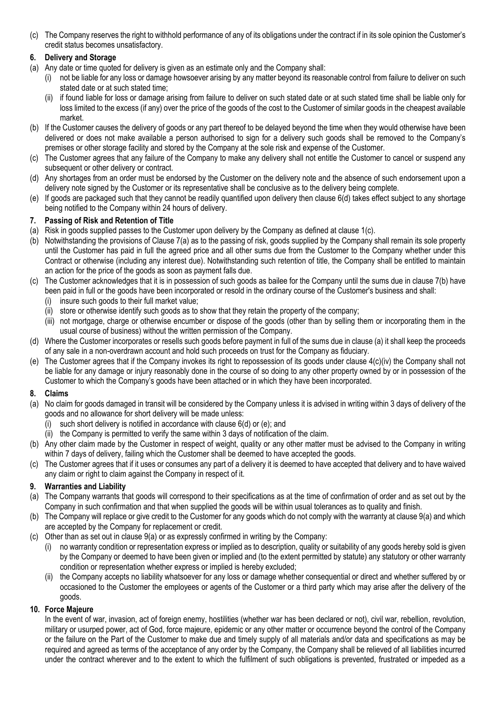(c) The Company reserves the right to withhold performance of any of its obligations under the contract if in its sole opinion the Customer's credit status becomes unsatisfactory.

### **6. Delivery and Storage**

- (a) Any date or time quoted for delivery is given as an estimate only and the Company shall:
	- (i) not be liable for any loss or damage howsoever arising by any matter beyond its reasonable control from failure to deliver on such stated date or at such stated time;
	- (ii) if found liable for loss or damage arising from failure to deliver on such stated date or at such stated time shall be liable only for loss limited to the excess (if any) over the price of the goods of the cost to the Customer of similar goods in the cheapest available market.
- (b) If the Customer causes the delivery of goods or any part thereof to be delayed beyond the time when they would otherwise have been delivered or does not make available a person authorised to sign for a delivery such goods shall be removed to the Company's premises or other storage facility and stored by the Company at the sole risk and expense of the Customer.
- (c) The Customer agrees that any failure of the Company to make any delivery shall not entitle the Customer to cancel or suspend any subsequent or other delivery or contract.
- (d) Any shortages from an order must be endorsed by the Customer on the delivery note and the absence of such endorsement upon a delivery note signed by the Customer or its representative shall be conclusive as to the delivery being complete.
- (e) If goods are packaged such that they cannot be readily quantified upon delivery then clause 6(d) takes effect subject to any shortage being notified to the Company within 24 hours of delivery.

#### **7. Passing of Risk and Retention of Title**

- (a) Risk in goods supplied passes to the Customer upon delivery by the Company as defined at clause 1(c).
- (b) Notwithstanding the provisions of Clause 7(a) as to the passing of risk, goods supplied by the Company shall remain its sole property until the Customer has paid in full the agreed price and all other sums due from the Customer to the Company whether under this Contract or otherwise (including any interest due). Notwithstanding such retention of title, the Company shall be entitled to maintain an action for the price of the goods as soon as payment falls due.
- (c) The Customer acknowledges that it is in possession of such goods as bailee for the Company until the sums due in clause 7(b) have been paid in full or the goods have been incorporated or resold in the ordinary course of the Customer's business and shall:
	- (i) insure such goods to their full market value;
	- (ii) store or otherwise identify such goods as to show that they retain the property of the company;
	- (iii) not mortgage, charge or otherwise encumber or dispose of the goods (other than by selling them or incorporating them in the usual course of business) without the written permission of the Company.
- (d) Where the Customer incorporates or resells such goods before payment in full of the sums due in clause (a) it shall keep the proceeds of any sale in a non-overdrawn account and hold such proceeds on trust for the Company as fiduciary.
- (e) The Customer agrees that if the Company invokes its right to repossession of its goods under clause 4(c)(iv) the Company shall not be liable for any damage or injury reasonably done in the course of so doing to any other property owned by or in possession of the Customer to which the Company's goods have been attached or in which they have been incorporated.

#### **8. Claims**

- (a) No claim for goods damaged in transit will be considered by the Company unless it is advised in writing within 3 days of delivery of the goods and no allowance for short delivery will be made unless:
	- (i) such short delivery is notified in accordance with clause  $6(d)$  or (e); and
	- (ii) the Company is permitted to verify the same within 3 days of notification of the claim.
- (b) Any other claim made by the Customer in respect of weight, quality or any other matter must be advised to the Company in writing within 7 days of delivery, failing which the Customer shall be deemed to have accepted the goods.
- (c) The Customer agrees that if it uses or consumes any part of a delivery it is deemed to have accepted that delivery and to have waived any claim or right to claim against the Company in respect of it.

## **9. Warranties and Liability**

- (a) The Company warrants that goods will correspond to their specifications as at the time of confirmation of order and as set out by the Company in such confirmation and that when supplied the goods will be within usual tolerances as to quality and finish.
- (b) The Company will replace or give credit to the Customer for any goods which do not comply with the warranty at clause 9(a) and which are accepted by the Company for replacement or credit.
- (c) Other than as set out in clause 9(a) or as expressly confirmed in writing by the Company:
	- (i) no warranty condition or representation express or implied as to description, quality or suitability of any goods hereby sold is given by the Company or deemed to have been given or implied and (to the extent permitted by statute) any statutory or other warranty condition or representation whether express or implied is hereby excluded;
	- (ii) the Company accepts no liability whatsoever for any loss or damage whether consequential or direct and whether suffered by or occasioned to the Customer the employees or agents of the Customer or a third party which may arise after the delivery of the goods.

#### **10. Force Majeure**

In the event of war, invasion, act of foreign enemy, hostilities (whether war has been declared or not), civil war, rebellion, revolution, military or usurped power, act of God, force majeure, epidemic or any other matter or occurrence beyond the control of the Company or the failure on the Part of the Customer to make due and timely supply of all materials and/or data and specifications as may be required and agreed as terms of the acceptance of any order by the Company, the Company shall be relieved of all liabilities incurred under the contract wherever and to the extent to which the fulfilment of such obligations is prevented, frustrated or impeded as a